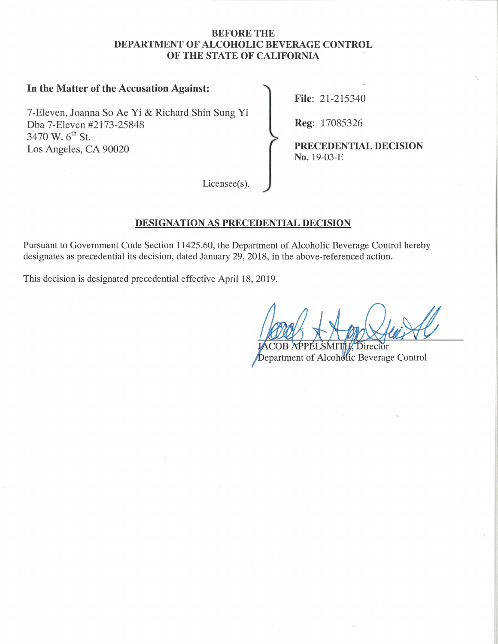#### **BEFORE THE DEPARTMENT OF ALCOHOLIC BEVERAGE CONTROL OF THE STATE OF CALIFORNIA**

# **In the Matter of the Accusation Against:**

7-Eleven, Joanna So Ae Yi & Richard Shin Sung Yi Dba 7-Eleven #2173-25848 **Reg:** 17085326 3470 W. 6<sup>th</sup> St. Los Angeles, CA 90020 **PRECEDENTIAL DECISION** 

**File:** 21-215340

**No.** 19-03-E

Licensee(s).

#### **DESIGNATION AS PRECEDENTIAL DECISION**

Pursuant to Government Code Section [11425.60,](https://11425.60) the Department of Alcoholic Beverage Control hereby designates as precedential its decision, dated January 29, 2018, in the above-referenced action.

This decision is designated precedential effective April 18, 2019.

Director Department of Alcoholic Beverage Control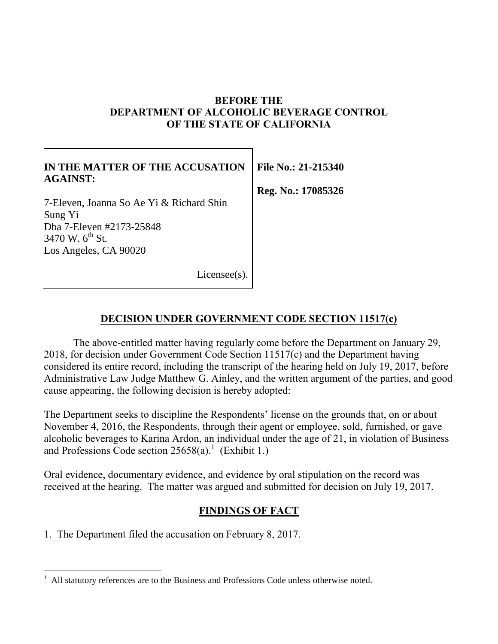### **BEFORE THE DEPARTMENT OF ALCOHOLIC BEVERAGE CONTROL OF THE STATE OF CALIFORNIA**

| IN THE MATTER OF THE ACCUSATION<br><b>AGAINST:</b> | File No.: 21-215340 |
|----------------------------------------------------|---------------------|
|                                                    | Reg. No.: 17085326  |
| 7-Eleven, Joanna So Ae Yi & Richard Shin           |                     |
| Sung Yi                                            |                     |
| Dba 7-Eleven #2173-25848                           |                     |
| 3470 W. $6^{\text{th}}$ St.                        |                     |
| Los Angeles, CA 90020                              |                     |
| $License(s)$ .                                     |                     |

# **DECISION UNDER GOVERNMENT CODE SECTION 11517(c)**

The above-entitled matter having regularly come before the Department on January 29, 2018, for decision under Government Code Section 11517(c) and the Department having considered its entire record, including the transcript of the hearing held on July 19, 2017, before Administrative Law Judge Matthew G. Ainley, and the written argument of the parties, and good cause appearing, the following decision is hereby adopted:

The Department seeks to discipline the Respondents' license on the grounds that, on or about November 4, 2016, the Respondents, through their agent or employee, sold, furnished, or gave alcoholic beverages to Karina Ardon, an individual under the age of 21, in violation of Business and Professions Code section  $25658(a)$ .<sup>1</sup> (Exhibit 1.)

Oral evidence, documentary evidence, and evidence by oral stipulation on the record was received at the hearing. The matter was argued and submitted for decision on July 19, 2017.

# **FINDINGS OF FACT**

1. The Department filed the accusation on February 8, 2017.

All statutory references are to the Business and Professions Code unless otherwise noted.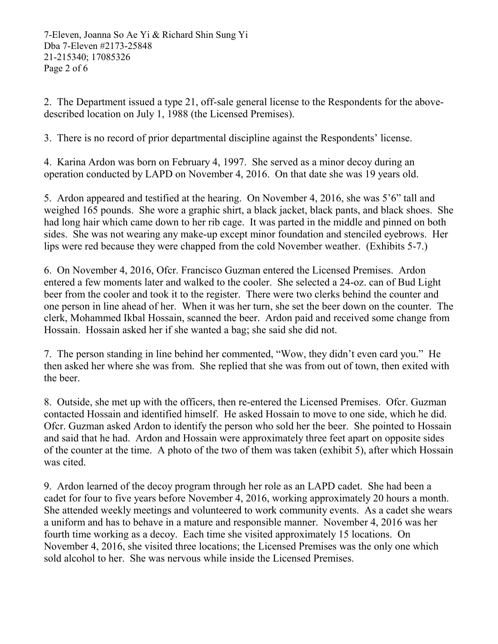7-Eleven, Joanna So Ae Yi & Richard Shin Sung Yi Dba 7-Eleven #2173-25848 21-215340; 17085326 Page 2 of 6

2. The Department issued a type 21, off-sale general license to the Respondents for the abovedescribed location on July 1, 1988 (the Licensed Premises).

3. There is no record of prior departmental discipline against the Respondents' license.

4. Karina Ardon was born on February 4, 1997. She served as a minor decoy during an operation conducted by LAPD on November 4, 2016. On that date she was 19 years old.

5. Ardon appeared and testified at the hearing. On November 4, 2016, she was 5'6" tall and weighed 165 pounds. She wore a graphic shirt, a black jacket, black pants, and black shoes. She had long hair which came down to her rib cage. It was parted in the middle and pinned on both sides. She was not wearing any make-up except minor foundation and stenciled eyebrows. Her lips were red because they were chapped from the cold November weather. (Exhibits 5-7.)

6. On November 4, 2016, Ofcr. Francisco Guzman entered the Licensed Premises. Ardon entered a few moments later and walked to the cooler. She selected a 24-oz. can of Bud Light beer from the cooler and took it to the register. There were two clerks behind the counter and one person in line ahead of her. When it was her turn, she set the beer down on the counter. The clerk, Mohammed Ikbal Hossain, scanned the beer. Ardon paid and received some change from Hossain. Hossain asked her if she wanted a bag; she said she did not.

7. The person standing in line behind her commented, "Wow, they didn't even card you." He then asked her where she was from. She replied that she was from out of town, then exited with the beer.

8. Outside, she met up with the officers, then re-entered the Licensed Premises. Ofcr. Guzman contacted Hossain and identified himself. He asked Hossain to move to one side, which he did. Ofcr. Guzman asked Ardon to identify the person who sold her the beer. She pointed to Hossain and said that he had. Ardon and Hossain were approximately three feet apart on opposite sides of the counter at the time. A photo of the two of them was taken (exhibit 5), after which Hossain was cited.

9. Ardon learned of the decoy program through her role as an LAPD cadet. She had been a cadet for four to five years before November 4, 2016, working approximately 20 hours a month. She attended weekly meetings and volunteered to work community events. As a cadet she wears a uniform and has to behave in a mature and responsible manner. November 4, 2016 was her fourth time working as a decoy. Each time she visited approximately 15 locations. On November 4, 2016, she visited three locations; the Licensed Premises was the only one which sold alcohol to her. She was nervous while inside the Licensed Premises.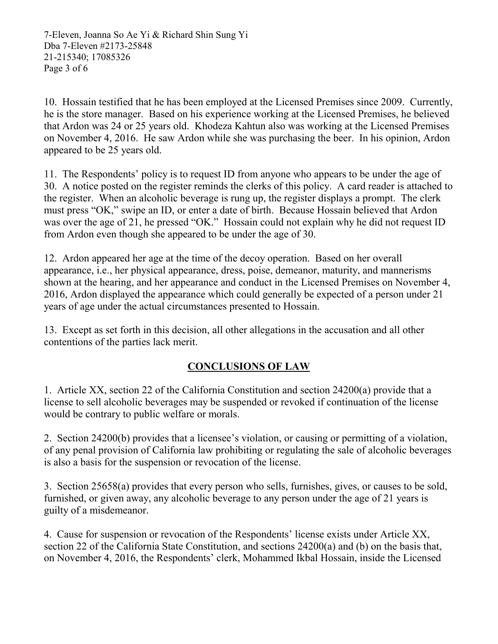7-Eleven, Joanna So Ae Yi & Richard Shin Sung Yi Dba 7-Eleven #2173-25848 21-215340; 17085326 Page 3 of 6

10. Hossain testified that he has been employed at the Licensed Premises since 2009. Currently, he is the store manager. Based on his experience working at the Licensed Premises, he believed that Ardon was 24 or 25 years old. Khodeza Kahtun also was working at the Licensed Premises on November 4, 2016. He saw Ardon while she was purchasing the beer. In his opinion, Ardon appeared to be 25 years old.

11. The Respondents' policy is to request ID from anyone who appears to be under the age of 30. A notice posted on the register reminds the clerks of this policy. A card reader is attached to the register. When an alcoholic beverage is rung up, the register displays a prompt. The clerk must press "OK," swipe an ID, or enter a date of birth. Because Hossain believed that Ardon was over the age of 21, he pressed "OK." Hossain could not explain why he did not request ID from Ardon even though she appeared to be under the age of 30.

12. Ardon appeared her age at the time of the decoy operation. Based on her overall appearance, i.e., her physical appearance, dress, poise, demeanor, maturity, and mannerisms shown at the hearing, and her appearance and conduct in the Licensed Premises on November 4, 2016, Ardon displayed the appearance which could generally be expected of a person under 21 years of age under the actual circumstances presented to Hossain.

13. Except as set forth in this decision, all other allegations in the accusation and all other contentions of the parties lack merit.

# **CONCLUSIONS OF LAW**

1. Article XX, section 22 of the California Constitution and section 24200(a) provide that a license to sell alcoholic beverages may be suspended or revoked if continuation of the license would be contrary to public welfare or morals.

2. Section 24200(b) provides that a licensee's violation, or causing or permitting of a violation, of any penal provision of California law prohibiting or regulating the sale of alcoholic beverages is also a basis for the suspension or revocation of the license.

3. Section 25658(a) provides that every person who sells, furnishes, gives, or causes to be sold, furnished, or given away, any alcoholic beverage to any person under the age of 21 years is guilty of a misdemeanor.

4. Cause for suspension or revocation of the Respondents' license exists under Article XX, section 22 of the California State Constitution, and sections 24200(a) and (b) on the basis that, on November 4, 2016, the Respondents' clerk, Mohammed Ikbal Hossain, inside the Licensed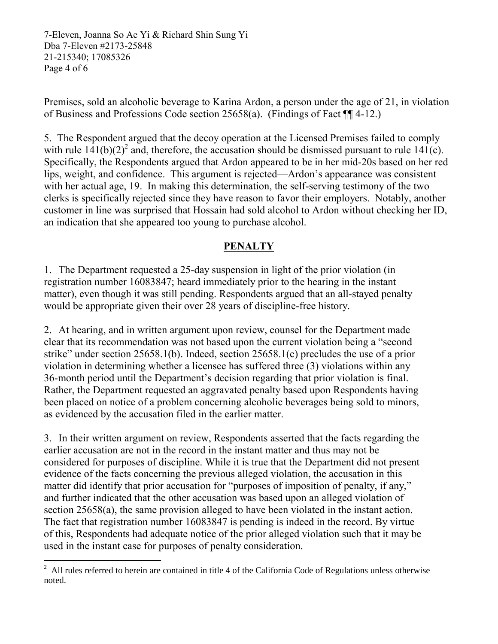7-Eleven, Joanna So Ae Yi & Richard Shin Sung Yi Dba 7-Eleven #2173-25848 21-215340; 17085326 Page 4 of 6

Premises, sold an alcoholic beverage to Karina Ardon, a person under the age of 21, in violation of Business and Professions Code section 25658(a). (Findings of Fact ¶¶ 4-12.)

5. The Respondent argued that the decoy operation at the Licensed Premises failed to comply with rule  $141(b)(2)^2$  and, therefore, the accusation should be dismissed pursuant to rule  $141(c)$ . Specifically, the Respondents argued that Ardon appeared to be in her mid-20s based on her red lips, weight, and confidence. This argument is rejected—Ardon's appearance was consistent with her actual age, 19. In making this determination, the self-serving testimony of the two clerks is specifically rejected since they have reason to favor their employers. Notably, another customer in line was surprised that Hossain had sold alcohol to Ardon without checking her ID, an indication that she appeared too young to purchase alcohol.

# **PENALTY**

1. The Department requested a 25-day suspension in light of the prior violation (in registration number 16083847; heard immediately prior to the hearing in the instant matter), even though it was still pending. Respondents argued that an all-stayed penalty would be appropriate given their over 28 years of discipline-free history.

2. At hearing, and in written argument upon review, counsel for the Department made clear that its recommendation was not based upon the current violation being a "second strike" under section 25658.1(b). Indeed, section 25658.1(c) precludes the use of a prior violation in determining whether a licensee has suffered three (3) violations within any 36-month period until the Department's decision regarding that prior violation is final. Rather, the Department requested an aggravated penalty based upon Respondents having been placed on notice of a problem concerning alcoholic beverages being sold to minors, as evidenced by the accusation filed in the earlier matter.

3. In their written argument on review, Respondents asserted that the facts regarding the earlier accusation are not in the record in the instant matter and thus may not be considered for purposes of discipline. While it is true that the Department did not present evidence of the facts concerning the previous alleged violation, the accusation in this matter did identify that prior accusation for "purposes of imposition of penalty, if any," and further indicated that the other accusation was based upon an alleged violation of section 25658(a), the same provision alleged to have been violated in the instant action. The fact that registration number 16083847 is pending is indeed in the record. By virtue of this, Respondents had adequate notice of the prior alleged violation such that it may be used in the instant case for purposes of penalty consideration.

<sup>&</sup>lt;sup>2</sup> All rules referred to herein are contained in title 4 of the California Code of Regulations unless otherwise noted.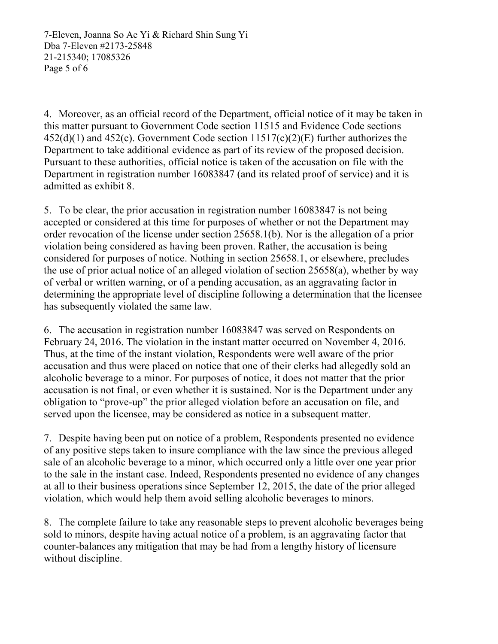7-Eleven, Joanna So Ae Yi & Richard Shin Sung Yi Dba 7-Eleven #2173-25848 21-215340; 17085326 Page 5 of 6

4. Moreover, as an official record of the Department, official notice of it may be taken in this matter pursuant to Government Code section 11515 and Evidence Code sections  $452(d)(1)$  and  $452(c)$ . Government Code section  $11517(c)(2)(E)$  further authorizes the Department to take additional evidence as part of its review of the proposed decision. Pursuant to these authorities, official notice is taken of the accusation on file with the Department in registration number 16083847 (and its related proof of service) and it is admitted as exhibit 8.

5. To be clear, the prior accusation in registration number 16083847 is not being accepted or considered at this time for purposes of whether or not the Department may order revocation of the license under section 25658.1(b). Nor is the allegation of a prior violation being considered as having been proven. Rather, the accusation is being considered for purposes of notice. Nothing in section 25658.1, or elsewhere, precludes the use of prior actual notice of an alleged violation of section 25658(a), whether by way of verbal or written warning, or of a pending accusation, as an aggravating factor in determining the appropriate level of discipline following a determination that the licensee has subsequently violated the same law.

6. The accusation in registration number 16083847 was served on Respondents on February 24, 2016. The violation in the instant matter occurred on November 4, 2016. Thus, at the time of the instant violation, Respondents were well aware of the prior accusation and thus were placed on notice that one of their clerks had allegedly sold an alcoholic beverage to a minor. For purposes of notice, it does not matter that the prior accusation is not final, or even whether it is sustained. Nor is the Department under any obligation to "prove-up" the prior alleged violation before an accusation on file, and served upon the licensee, may be considered as notice in a subsequent matter.

7. Despite having been put on notice of a problem, Respondents presented no evidence of any positive steps taken to insure compliance with the law since the previous alleged sale of an alcoholic beverage to a minor, which occurred only a little over one year prior to the sale in the instant case. Indeed, Respondents presented no evidence of any changes at all to their business operations since September 12, 2015, the date of the prior alleged violation, which would help them avoid selling alcoholic beverages to minors.

8. The complete failure to take any reasonable steps to prevent alcoholic beverages being sold to minors, despite having actual notice of a problem, is an aggravating factor that counter-balances any mitigation that may be had from a lengthy history of licensure without discipline.